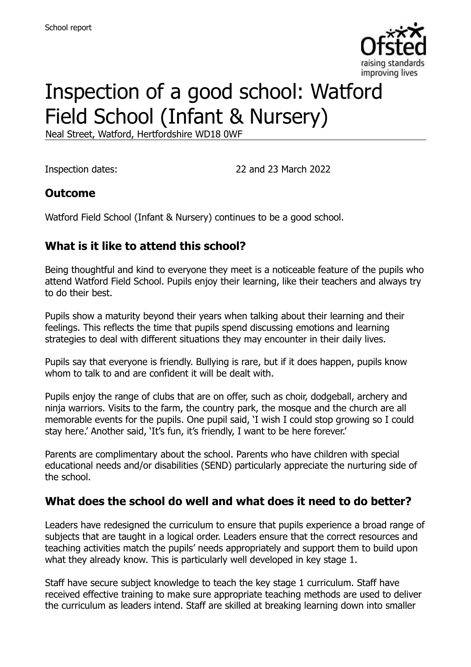

# Inspection of a good school: Watford Field School (Infant & Nursery)

Neal Street, Watford, Hertfordshire WD18 0WF

Inspection dates: 22 and 23 March 2022

### **Outcome**

Watford Field School (Infant & Nursery) continues to be a good school.

# **What is it like to attend this school?**

Being thoughtful and kind to everyone they meet is a noticeable feature of the pupils who attend Watford Field School. Pupils enjoy their learning, like their teachers and always try to do their best.

Pupils show a maturity beyond their years when talking about their learning and their feelings. This reflects the time that pupils spend discussing emotions and learning strategies to deal with different situations they may encounter in their daily lives.

Pupils say that everyone is friendly. Bullying is rare, but if it does happen, pupils know whom to talk to and are confident it will be dealt with.

Pupils enjoy the range of clubs that are on offer, such as choir, dodgeball, archery and ninja warriors. Visits to the farm, the country park, the mosque and the church are all memorable events for the pupils. One pupil said, 'I wish I could stop growing so I could stay here.' Another said, 'It's fun, it's friendly, I want to be here forever.'

Parents are complimentary about the school. Parents who have children with special educational needs and/or disabilities (SEND) particularly appreciate the nurturing side of the school.

### **What does the school do well and what does it need to do better?**

Leaders have redesigned the curriculum to ensure that pupils experience a broad range of subjects that are taught in a logical order. Leaders ensure that the correct resources and teaching activities match the pupils' needs appropriately and support them to build upon what they already know. This is particularly well developed in key stage 1.

Staff have secure subject knowledge to teach the key stage 1 curriculum. Staff have received effective training to make sure appropriate teaching methods are used to deliver the curriculum as leaders intend. Staff are skilled at breaking learning down into smaller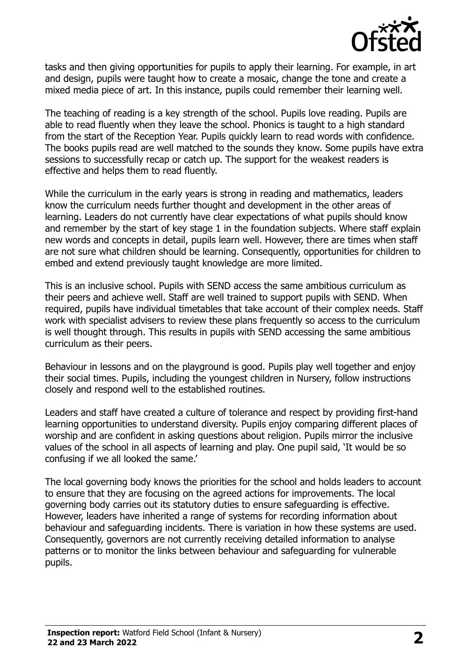

tasks and then giving opportunities for pupils to apply their learning. For example, in art and design, pupils were taught how to create a mosaic, change the tone and create a mixed media piece of art. In this instance, pupils could remember their learning well.

The teaching of reading is a key strength of the school. Pupils love reading. Pupils are able to read fluently when they leave the school. Phonics is taught to a high standard from the start of the Reception Year. Pupils quickly learn to read words with confidence. The books pupils read are well matched to the sounds they know. Some pupils have extra sessions to successfully recap or catch up. The support for the weakest readers is effective and helps them to read fluently.

While the curriculum in the early years is strong in reading and mathematics, leaders know the curriculum needs further thought and development in the other areas of learning. Leaders do not currently have clear expectations of what pupils should know and remember by the start of key stage 1 in the foundation subjects. Where staff explain new words and concepts in detail, pupils learn well. However, there are times when staff are not sure what children should be learning. Consequently, opportunities for children to embed and extend previously taught knowledge are more limited.

This is an inclusive school. Pupils with SEND access the same ambitious curriculum as their peers and achieve well. Staff are well trained to support pupils with SEND. When required, pupils have individual timetables that take account of their complex needs. Staff work with specialist advisers to review these plans frequently so access to the curriculum is well thought through. This results in pupils with SEND accessing the same ambitious curriculum as their peers.

Behaviour in lessons and on the playground is good. Pupils play well together and enjoy their social times. Pupils, including the youngest children in Nursery, follow instructions closely and respond well to the established routines.

Leaders and staff have created a culture of tolerance and respect by providing first-hand learning opportunities to understand diversity. Pupils enjoy comparing different places of worship and are confident in asking questions about religion. Pupils mirror the inclusive values of the school in all aspects of learning and play. One pupil said, 'It would be so confusing if we all looked the same.'

The local governing body knows the priorities for the school and holds leaders to account to ensure that they are focusing on the agreed actions for improvements. The local governing body carries out its statutory duties to ensure safeguarding is effective. However, leaders have inherited a range of systems for recording information about behaviour and safeguarding incidents. There is variation in how these systems are used. Consequently, governors are not currently receiving detailed information to analyse patterns or to monitor the links between behaviour and safeguarding for vulnerable pupils.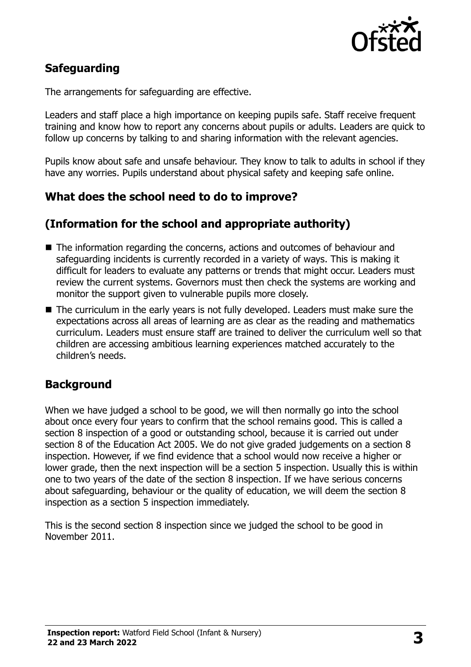

# **Safeguarding**

The arrangements for safeguarding are effective.

Leaders and staff place a high importance on keeping pupils safe. Staff receive frequent training and know how to report any concerns about pupils or adults. Leaders are quick to follow up concerns by talking to and sharing information with the relevant agencies.

Pupils know about safe and unsafe behaviour. They know to talk to adults in school if they have any worries. Pupils understand about physical safety and keeping safe online.

#### **What does the school need to do to improve?**

#### **(Information for the school and appropriate authority)**

- The information regarding the concerns, actions and outcomes of behaviour and safeguarding incidents is currently recorded in a variety of ways. This is making it difficult for leaders to evaluate any patterns or trends that might occur. Leaders must review the current systems. Governors must then check the systems are working and monitor the support given to vulnerable pupils more closely.
- The curriculum in the early years is not fully developed. Leaders must make sure the expectations across all areas of learning are as clear as the reading and mathematics curriculum. Leaders must ensure staff are trained to deliver the curriculum well so that children are accessing ambitious learning experiences matched accurately to the children's needs.

### **Background**

When we have judged a school to be good, we will then normally go into the school about once every four years to confirm that the school remains good. This is called a section 8 inspection of a good or outstanding school, because it is carried out under section 8 of the Education Act 2005. We do not give graded judgements on a section 8 inspection. However, if we find evidence that a school would now receive a higher or lower grade, then the next inspection will be a section 5 inspection. Usually this is within one to two years of the date of the section 8 inspection. If we have serious concerns about safeguarding, behaviour or the quality of education, we will deem the section 8 inspection as a section 5 inspection immediately.

This is the second section 8 inspection since we judged the school to be good in November 2011.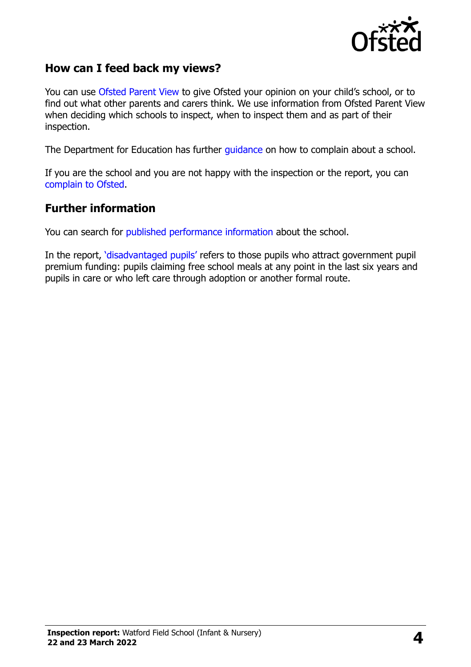

### **How can I feed back my views?**

You can use [Ofsted Parent View](https://parentview.ofsted.gov.uk/) to give Ofsted your opinion on your child's school, or to find out what other parents and carers think. We use information from Ofsted Parent View when deciding which schools to inspect, when to inspect them and as part of their inspection.

The Department for Education has further [guidance](http://www.gov.uk/complain-about-school) on how to complain about a school.

If you are the school and you are not happy with the inspection or the report, you can [complain to Ofsted.](https://www.gov.uk/complain-ofsted-report)

#### **Further information**

You can search for [published performance](http://www.compare-school-performance.service.gov.uk/) information about the school.

In the report, '[disadvantaged pupils](http://www.gov.uk/guidance/pupil-premium-information-for-schools-and-alternative-provision-settings)' refers to those pupils who attract government pupil premium funding: pupils claiming free school meals at any point in the last six years and pupils in care or who left care through adoption or another formal route.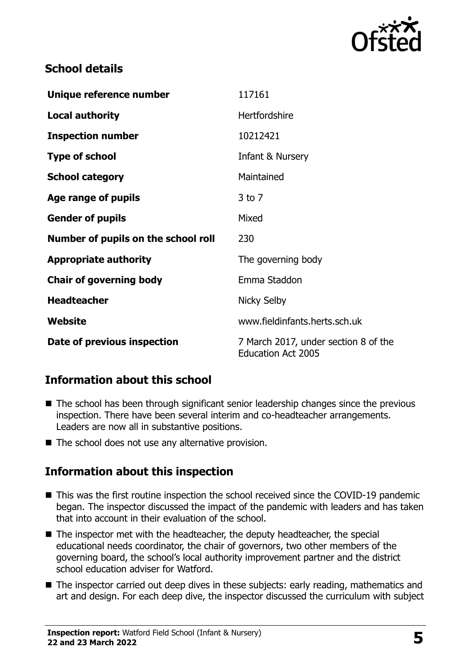

# **School details**

| Unique reference number             | 117161                                                            |
|-------------------------------------|-------------------------------------------------------------------|
| <b>Local authority</b>              | <b>Hertfordshire</b>                                              |
| <b>Inspection number</b>            | 10212421                                                          |
| <b>Type of school</b>               | Infant & Nursery                                                  |
| <b>School category</b>              | Maintained                                                        |
| Age range of pupils                 | $3$ to $7$                                                        |
| <b>Gender of pupils</b>             | Mixed                                                             |
| Number of pupils on the school roll | 230                                                               |
| <b>Appropriate authority</b>        | The governing body                                                |
| <b>Chair of governing body</b>      | Emma Staddon                                                      |
| <b>Headteacher</b>                  | <b>Nicky Selby</b>                                                |
| Website                             | www.fieldinfants.herts.sch.uk                                     |
| Date of previous inspection         | 7 March 2017, under section 8 of the<br><b>Education Act 2005</b> |

# **Information about this school**

- The school has been through significant senior leadership changes since the previous inspection. There have been several interim and co-headteacher arrangements. Leaders are now all in substantive positions.
- $\blacksquare$  The school does not use any alternative provision.

# **Information about this inspection**

- This was the first routine inspection the school received since the COVID-19 pandemic began. The inspector discussed the impact of the pandemic with leaders and has taken that into account in their evaluation of the school.
- The inspector met with the headteacher, the deputy headteacher, the special educational needs coordinator, the chair of governors, two other members of the governing board, the school's local authority improvement partner and the district school education adviser for Watford.
- The inspector carried out deep dives in these subjects: early reading, mathematics and art and design. For each deep dive, the inspector discussed the curriculum with subject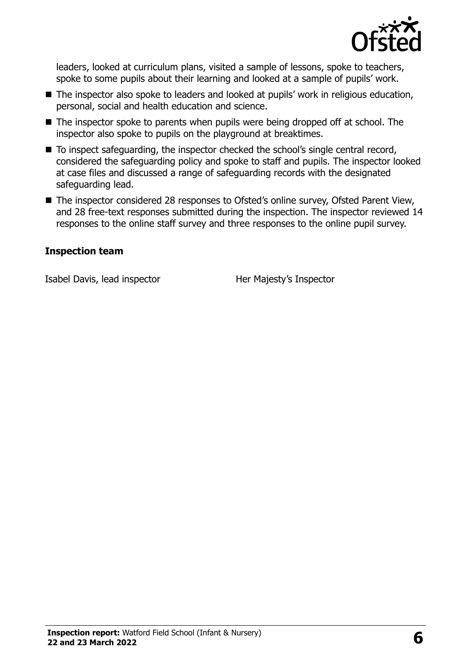

leaders, looked at curriculum plans, visited a sample of lessons, spoke to teachers, spoke to some pupils about their learning and looked at a sample of pupils' work.

- The inspector also spoke to leaders and looked at pupils' work in religious education, personal, social and health education and science.
- The inspector spoke to parents when pupils were being dropped off at school. The inspector also spoke to pupils on the playground at breaktimes.
- To inspect safeguarding, the inspector checked the school's single central record, considered the safeguarding policy and spoke to staff and pupils. The inspector looked at case files and discussed a range of safeguarding records with the designated safeguarding lead.
- The inspector considered 28 responses to Ofsted's online survey, Ofsted Parent View, and 28 free-text responses submitted during the inspection. The inspector reviewed 14 responses to the online staff survey and three responses to the online pupil survey.

#### **Inspection team**

Isabel Davis, lead inspector Her Majesty's Inspector